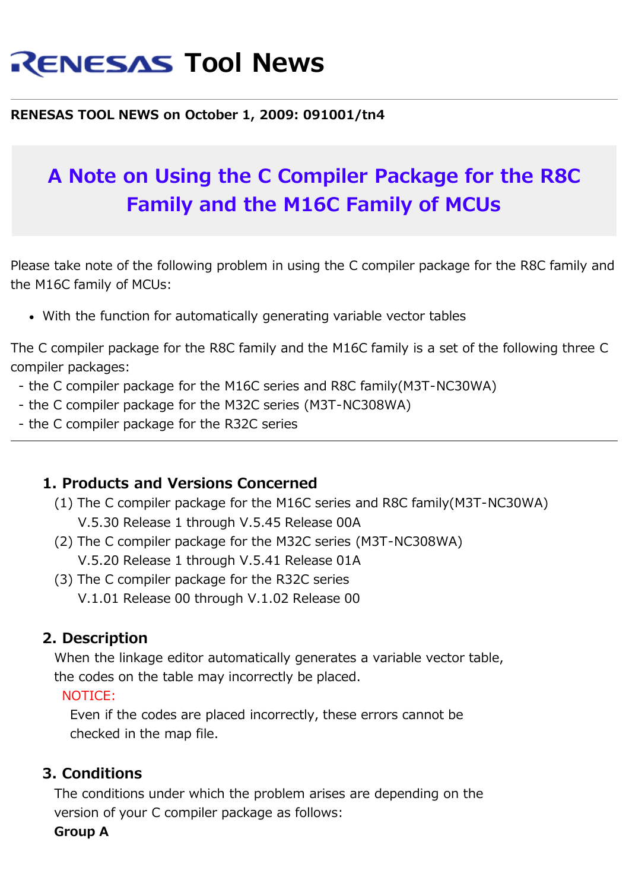# **RENESAS Tool News**

#### **RENESAS TOOL NEWS on October 1, 2009: 091001/tn4**

## **A Note on Using the C Compiler Package for the R8C Family and the M16C Family of MCUs**

Please take note of the following problem in using the C compiler package for the R8C family and the M16C family of MCUs:

With the function for automatically generating variable vector tables

The C compiler package for the R8C family and the M16C family is a set of the following three C compiler packages:

- the C compiler package for the M16C series and R8C family(M3T-NC30WA)
- the C compiler package for the M32C series (M3T-NC308WA)
- the C compiler package for the R32C series

#### **1. Products and Versions Concerned**

- (1) The C compiler package for the M16C series and R8C family(M3T-NC30WA) V.5.30 Release 1 through V.5.45 Release 00A
- (2) The C compiler package for the M32C series (M3T-NC308WA) V.5.20 Release 1 through V.5.41 Release 01A
- (3) The C compiler package for the R32C series V.1.01 Release 00 through V.1.02 Release 00

## **2. Description**

 When the linkage editor automatically generates a variable vector table, the codes on the table may incorrectly be placed.

#### NOTICE:

 Even if the codes are placed incorrectly, these errors cannot be checked in the map file.

## **3. Conditions**

 The conditions under which the problem arises are depending on the version of your C compiler package as follows:

**Group A**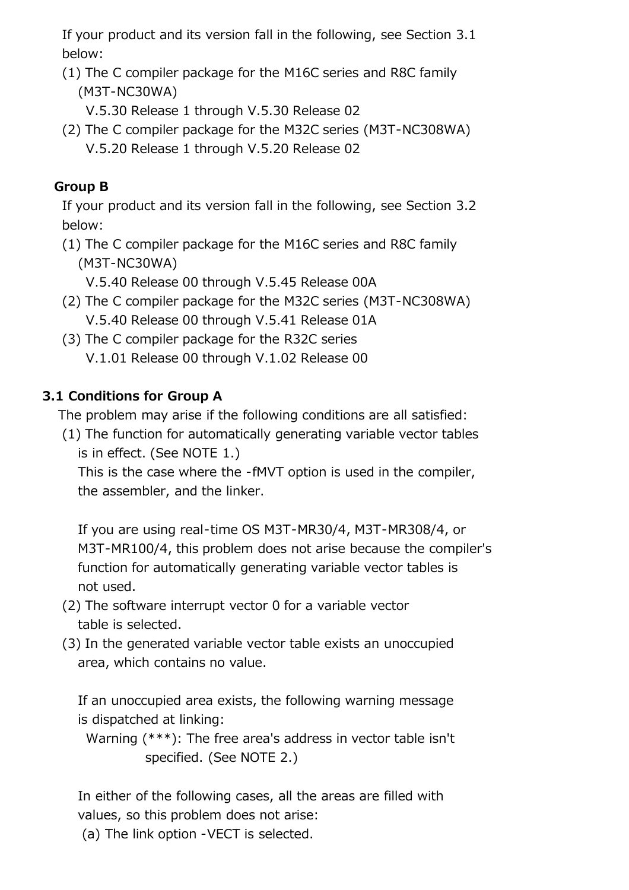If your product and its version fall in the following, see Section 3.1 below:

- (1) The C compiler package for the M16C series and R8C family (M3T-NC30WA)
	- V.5.30 Release 1 through V.5.30 Release 02
- (2) The C compiler package for the M32C series (M3T-NC308WA) V.5.20 Release 1 through V.5.20 Release 02

#### **Group B**

 If your product and its version fall in the following, see Section 3.2 below:

 (1) The C compiler package for the M16C series and R8C family (M3T-NC30WA)

V.5.40 Release 00 through V.5.45 Release 00A

- (2) The C compiler package for the M32C series (M3T-NC308WA) V.5.40 Release 00 through V.5.41 Release 01A
- (3) The C compiler package for the R32C series V.1.01 Release 00 through V.1.02 Release 00

#### **3.1 Conditions for Group A**

The problem may arise if the following conditions are all satisfied:

 (1) The function for automatically generating variable vector tables is in effect. (See NOTE 1.)

 This is the case where the -fMVT option is used in the compiler, the assembler, and the linker.

 If you are using real-time OS M3T-MR30/4, M3T-MR308/4, or M3T-MR100/4, this problem does not arise because the compiler's function for automatically generating variable vector tables is not used.

- (2) The software interrupt vector 0 for a variable vector table is selected.
- (3) In the generated variable vector table exists an unoccupied area, which contains no value.

 If an unoccupied area exists, the following warning message is dispatched at linking:

 Warning (\*\*\*): The free area's address in vector table isn't specified. (See NOTE 2.)

 In either of the following cases, all the areas are filled with values, so this problem does not arise:

(a) The link option -VECT is selected.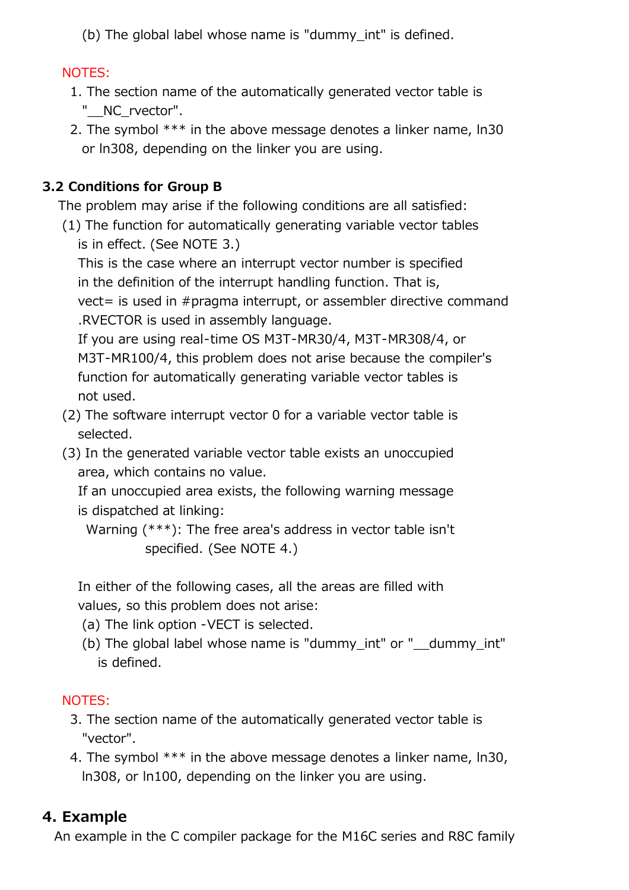(b) The global label whose name is "dummy\_int" is defined.

## NOTES:

- 1. The section name of the automatically generated vector table is "\_\_NC\_rvector".
- 2. The symbol \*\*\* in the above message denotes a linker name, ln30 or ln308, depending on the linker you are using.

## **3.2 Conditions for Group B**

The problem may arise if the following conditions are all satisfied:

 (1) The function for automatically generating variable vector tables is in effect. (See NOTE 3.)

 This is the case where an interrupt vector number is specified in the definition of the interrupt handling function. That is,

 vect= is used in #pragma interrupt, or assembler directive command .RVECTOR is used in assembly language.

 If you are using real-time OS M3T-MR30/4, M3T-MR308/4, or M3T-MR100/4, this problem does not arise because the compiler's function for automatically generating variable vector tables is not used.

- (2) The software interrupt vector 0 for a variable vector table is selected.
- (3) In the generated variable vector table exists an unoccupied area, which contains no value.

 If an unoccupied area exists, the following warning message is dispatched at linking:

 Warning (\*\*\*): The free area's address in vector table isn't specified. (See NOTE 4.)

 In either of the following cases, all the areas are filled with values, so this problem does not arise:

- (a) The link option -VECT is selected.
- (b) The global label whose name is "dummy int" or "\_\_dummy\_int" is defined.

## NOTES:

- 3. The section name of the automatically generated vector table is "vector".
- 4. The symbol \*\*\* in the above message denotes a linker name, ln30, ln308, or ln100, depending on the linker you are using.

## **4. Example**

An example in the C compiler package for the M16C series and R8C family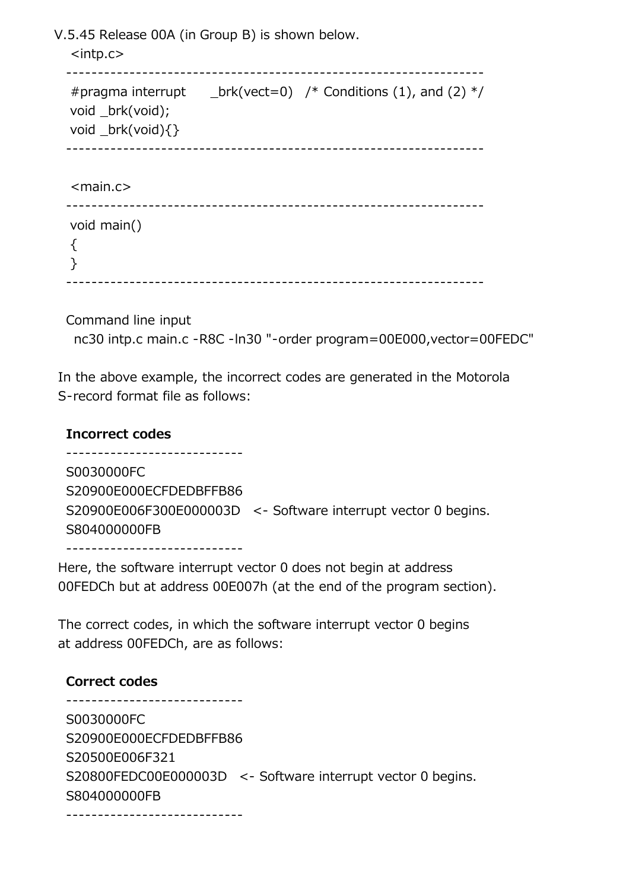V.5.45 Release 00A (in Group B) is shown below.

```
 <intp.c>
 ------------------------------------------------------------------
#pragma interrupt \Boxbrk(vect=0) /* Conditions (1), and (2) */
 void _brk(void);
 void _brk(void){}
 ------------------------------------------------------------------
<main.c> ------------------------------------------------------------------
 void main()
\{ }
 ------------------------------------------------------------------
```
Command line input

nc30 intp.c main.c -R8C -ln30 "-order program=00E000,vector=00FEDC"

 In the above example, the incorrect codes are generated in the Motorola S-record format file as follows:

 **Incorrect codes** ---------------------------- S0030000FC S20900E000ECFDEDBFFB86 S20900E006F300E000003D <- Software interrupt vector 0 begins. S804000000FB ----------------------------

 Here, the software interrupt vector 0 does not begin at address 00FEDCh but at address 00E007h (at the end of the program section).

 The correct codes, in which the software interrupt vector 0 begins at address 00FEDCh, are as follows:

#### **Correct codes**

 ---------------------------- S0030000FC S20900E000ECFDEDBFFB86 S20500E006F321 S20800FEDC00E000003D <- Software interrupt vector 0 begins. S804000000FB ----------------------------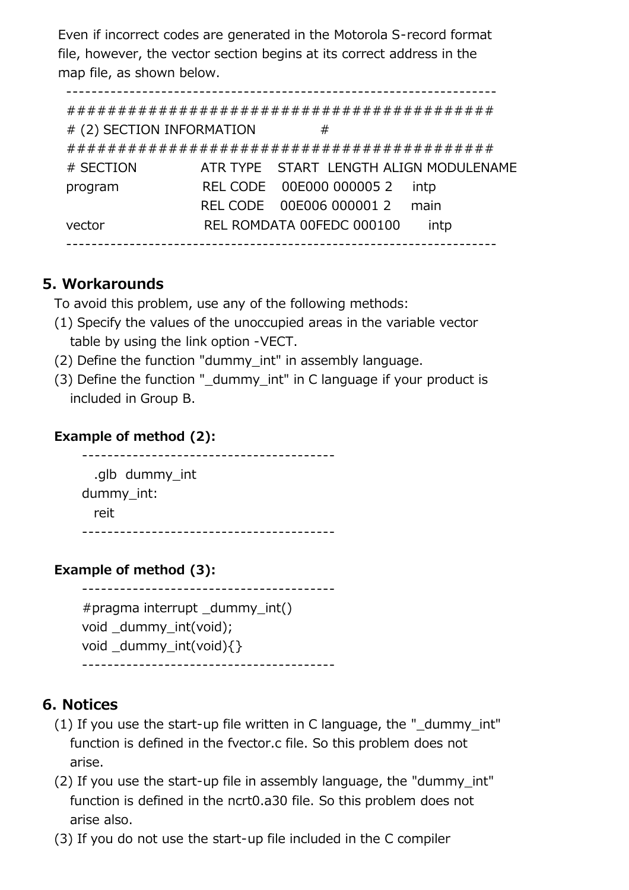Even if incorrect codes are generated in the Motorola S-record format file, however, the vector section begins at its correct address in the map file, as shown below.

--------------------------------------------------------------------

 ########################################## # (2) SECTION INFORMATION # ########################################## # SECTION ATR TYPE START LENGTH ALIGN MODULENAME program REL CODE 00E000 000005 2 intp REL CODE 00E006 000001 2 main vector REL ROMDATA 00FEDC 000100 intp --------------------------------------------------------------------

#### **5. Workarounds**

To avoid this problem, use any of the following methods:

- (1) Specify the values of the unoccupied areas in the variable vector table by using the link option -VECT.
- (2) Define the function "dummy\_int" in assembly language.
- (3) Define the function " dummy int" in C language if your product is included in Group B.

#### **Example of method (2):**

 ---------------------------------------- .glb dummy\_int dummy\_int: reit ----------------------------------------

## **Example of method (3):**

 ---------------------------------------- #pragma interrupt dummy int() void dummy int(void); void dummy int(void) $\{\}$ ----------------------------------------

## **6. Notices**

- (1) If you use the start-up file written in C language, the "\_dummy\_int" function is defined in the fvector.c file. So this problem does not arise.
- (2) If you use the start-up file in assembly language, the "dummy\_int" function is defined in the ncrt0.a30 file. So this problem does not arise also.
- (3) If you do not use the start-up file included in the C compiler